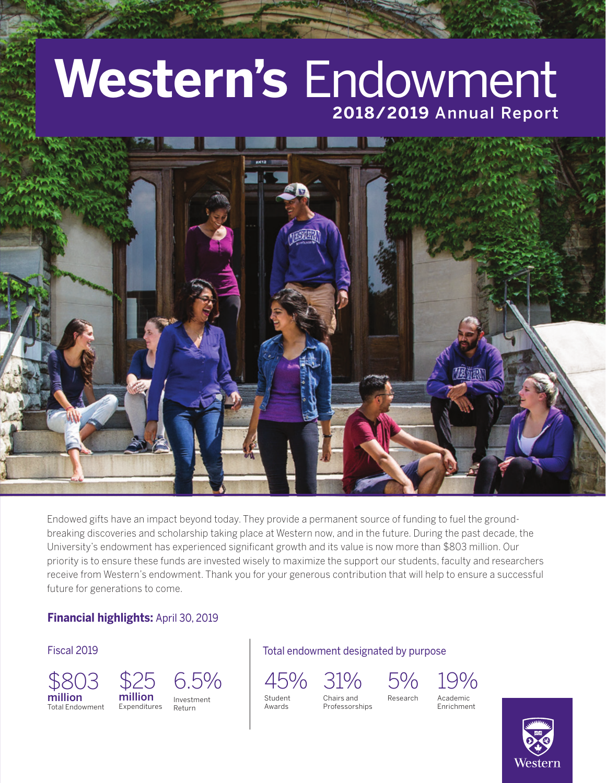# **Western's** Endowment **2018/2019** Annual Report



Endowed gifts have an impact beyond today. They provide a permanent source of funding to fuel the groundbreaking discoveries and scholarship taking place at Western now, and in the future. During the past decade, the University's endowment has experienced significant growth and its value is now more than \$803 million. Our priority is to ensure these funds are invested wisely to maximize the support our students, faculty and researchers receive from Western's endowment. Thank you for your generous contribution that will help to ensure a successful future for generations to come.

#### **Financial highlights:** April 30, 2019

Fiscal 2019



Total endowment designated by purpose



Awards

Professorships

Chairs and Research



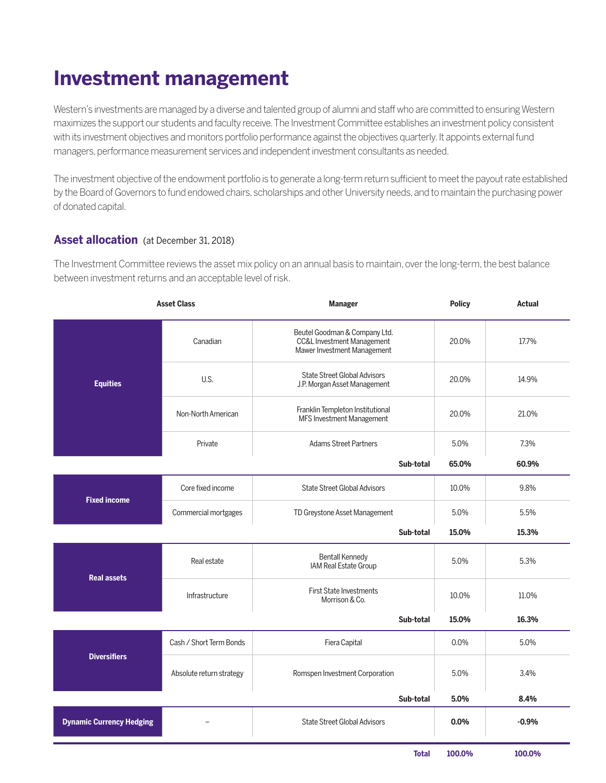## **Investment management**

Western's investments are managed by a diverse and talented group of alumni and staff who are committed to ensuring Western maximizes the support our students and faculty receive. The Investment Committee establishes an investment policy consistent with its investment objectives and monitors portfolio performance against the objectives quarterly. It appoints external fund managers, performance measurement services and independent investment consultants as needed.

The investment objective of the endowment portfolio is to generate a long-term return sufficient to meet the payout rate established by the Board of Governors to fund endowed chairs, scholarships and other University needs, and to maintain the purchasing power of donated capital.

#### **Asset allocation** (at December 31, 2018)

The Investment Committee reviews the asset mix policy on an annual basis to maintain, over the long-term, the best balance between investment returns and an acceptable level of risk.

| <b>Asset Class</b>              |                          | <b>Manager</b>                                                                                        |              | <b>Policy</b> | <b>Actual</b> |
|---------------------------------|--------------------------|-------------------------------------------------------------------------------------------------------|--------------|---------------|---------------|
| <b>Equities</b>                 | Canadian                 | Beutel Goodman & Company Ltd.<br><b>CC&amp;L Investment Management</b><br>Mawer Investment Management |              | 20.0%         | 17.7%         |
|                                 | U.S.                     | <b>State Street Global Advisors</b><br>J.P. Morgan Asset Management                                   |              | 20.0%         | 14.9%         |
|                                 | Non-North American       | Franklin Templeton Institutional<br>MFS Investment Management                                         |              | 20.0%         | 21.0%         |
|                                 | Private                  | <b>Adams Street Partners</b>                                                                          |              | 5.0%          | 7.3%          |
|                                 |                          |                                                                                                       | Sub-total    | 65.0%         | 60.9%         |
| <b>Fixed income</b>             | Core fixed income        | <b>State Street Global Advisors</b>                                                                   |              | 10.0%         | 9.8%          |
|                                 | Commercial mortgages     | TD Greystone Asset Management                                                                         |              | 5.0%          | 5.5%          |
|                                 |                          |                                                                                                       | Sub-total    | 15.0%         | 15.3%         |
| <b>Real assets</b>              | Real estate              | <b>Bentall Kennedy</b><br>IAM Real Estate Group                                                       |              | 5.0%          | 5.3%          |
|                                 | Infrastructure           | <b>First State Investments</b><br>Morrison & Co.                                                      |              | 10.0%         | 11.0%         |
|                                 |                          |                                                                                                       | Sub-total    | 15.0%         | 16.3%         |
| <b>Diversifiers</b>             | Cash / Short Term Bonds  | Fiera Capital                                                                                         |              | 0.0%          | 5.0%          |
|                                 | Absolute return strategy | Romspen Investment Corporation                                                                        |              | 5.0%          | 3.4%          |
|                                 |                          |                                                                                                       | Sub-total    | 5.0%          | 8.4%          |
| <b>Dynamic Currency Hedging</b> |                          | <b>State Street Global Advisors</b>                                                                   |              | 0.0%          | $-0.9%$       |
|                                 |                          |                                                                                                       | <b>Total</b> | 100.0%        | 100.0%        |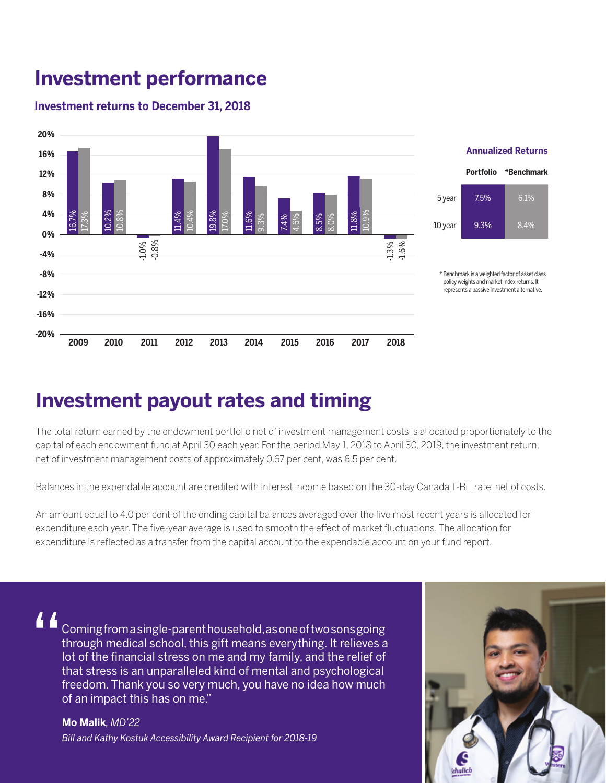### **Investment performance**

### **Investment returns to December 31, 2018**



### **Investment payout rates and timing**

The total return earned by the endowment portfolio net of investment management costs is allocated proportionately to the capital of each endowment fund at April 30 each year. For the period May 1, 2018 to April 30, 2019, the investment return, net of investment management costs of approximately 0.67 per cent, was 6.5 per cent.

Balances in the expendable account are credited with interest income based on the 30-day Canada T-Bill rate, net of costs.

An amount equal to 4.0 per cent of the ending capital balances averaged over the five most recent years is allocated for expenditure each year. The five-year average is used to smooth the effect of market fluctuations. The allocation for expenditure is reflected as a transfer from the capital account to the expendable account on your fund report.

"

Coming from a single-parent household, as one of two sons going through medical school, this gift means everything. It relieves a lot of the financial stress on me and my family, and the relief of that stress is an unparalleled kind of mental and psychological freedom. Thank you so very much, you have no idea how much of an impact this has on me."

**Mo Malik***, MD'22 Bill and Kathy Kostuk Accessibility Award Recipient for 2018-19*